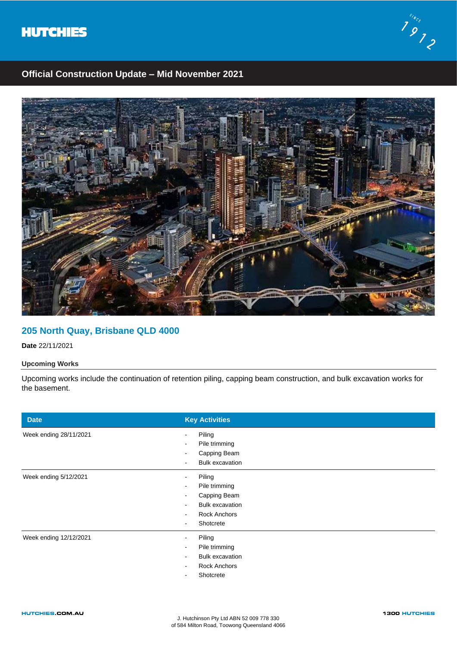



# **Official Construction Update – Mid November 2021**



### **205 North Quay, Brisbane QLD 4000**

**Date** 22/11/2021

### **Upcoming Works**

Upcoming works include the continuation of retention piling, capping beam construction, and bulk excavation works for the basement.

| <b>Date</b>            | <b>Key Activities</b>                                                                          |
|------------------------|------------------------------------------------------------------------------------------------|
| Week ending 28/11/2021 | Piling<br>Pile trimming<br>Capping Beam<br><b>Bulk excavation</b><br>$\sim$                    |
| Week ending 5/12/2021  | Piling<br>Pile trimming<br>Capping Beam<br><b>Bulk excavation</b><br>Rock Anchors<br>Shotcrete |
| Week ending 12/12/2021 | Piling<br>Pile trimming<br><b>Bulk excavation</b><br><b>Rock Anchors</b><br>Shotcrete          |